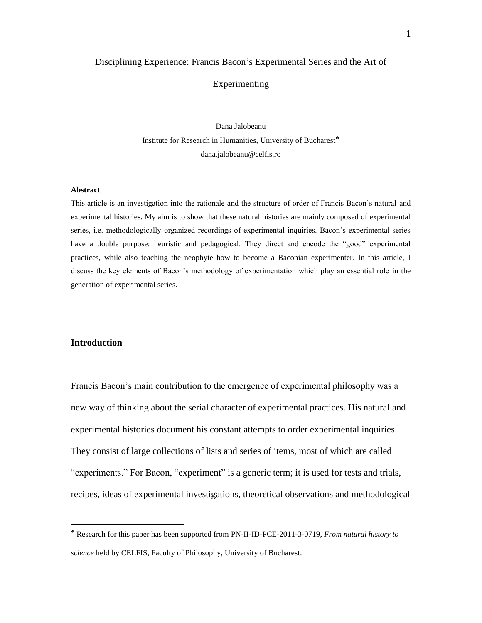# Disciplining Experience: Francis Bacon's Experimental Series and the Art of

## Experimenting

# Dana Jalobeanu Institute for Research in Humanities, University of Bucharest dana.jalobeanu@celfis.ro

#### **Abstract**

This article is an investigation into the rationale and the structure of order of Francis Bacon's natural and experimental histories. My aim is to show that these natural histories are mainly composed of experimental series, i.e. methodologically organized recordings of experimental inquiries. Bacon's experimental series have a double purpose: heuristic and pedagogical. They direct and encode the "good" experimental practices, while also teaching the neophyte how to become a Baconian experimenter. In this article, I discuss the key elements of Bacon's methodology of experimentation which play an essential role in the generation of experimental series.

### **Introduction**

 $\overline{a}$ 

Francis Bacon's main contribution to the emergence of experimental philosophy was a new way of thinking about the serial character of experimental practices. His natural and experimental histories document his constant attempts to order experimental inquiries. They consist of large collections of lists and series of items, most of which are called "experiments." For Bacon, "experiment" is a generic term; it is used for tests and trials, recipes, ideas of experimental investigations, theoretical observations and methodological

Research for this paper has been supported from PN-II-ID-PCE-2011-3-0719, *From natural history to science* held by CELFIS, Faculty of Philosophy, University of Bucharest.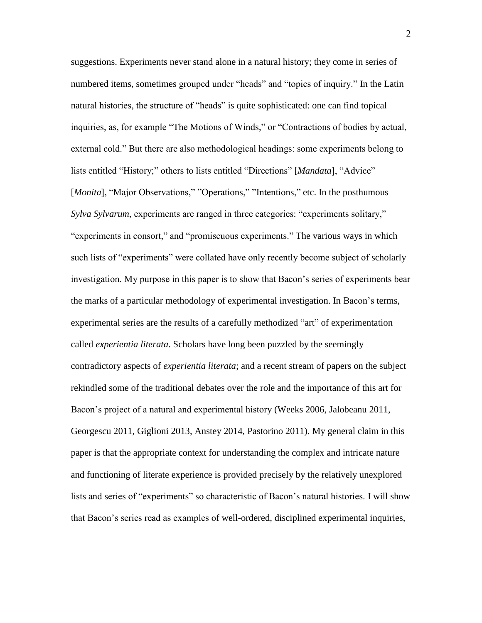suggestions. Experiments never stand alone in a natural history; they come in series of numbered items, sometimes grouped under "heads" and "topics of inquiry." In the Latin natural histories, the structure of "heads" is quite sophisticated: one can find topical inquiries, as, for example "The Motions of Winds," or "Contractions of bodies by actual, external cold." But there are also methodological headings: some experiments belong to lists entitled "History;" others to lists entitled "Directions" [*Mandata*], "Advice" [*Monita*], "Major Observations," "Operations," "Intentions," etc. In the posthumous *Sylva Sylvarum*, experiments are ranged in three categories: "experiments solitary," "experiments in consort," and "promiscuous experiments." The various ways in which such lists of "experiments" were collated have only recently become subject of scholarly investigation. My purpose in this paper is to show that Bacon's series of experiments bear the marks of a particular methodology of experimental investigation. In Bacon's terms, experimental series are the results of a carefully methodized "art" of experimentation called *experientia literata*. Scholars have long been puzzled by the seemingly contradictory aspects of *experientia literata*; and a recent stream of papers on the subject rekindled some of the traditional debates over the role and the importance of this art for Bacon's project of a natural and experimental history [\(Weeks 2006,](#page-28-0) [Jalobeanu 2011,](#page-27-0) [Georgescu 2011,](#page-27-1) [Giglioni 2013,](#page-27-2) [Anstey 2014,](#page-27-3) [Pastorino 2011\)](#page-27-4). My general claim in this paper is that the appropriate context for understanding the complex and intricate nature and functioning of literate experience is provided precisely by the relatively unexplored lists and series of "experiments" so characteristic of Bacon's natural histories. I will show that Bacon's series read as examples of well-ordered, disciplined experimental inquiries,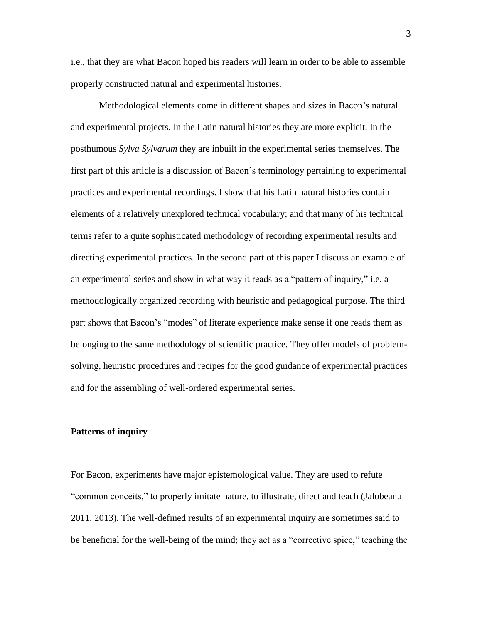i.e., that they are what Bacon hoped his readers will learn in order to be able to assemble properly constructed natural and experimental histories.

Methodological elements come in different shapes and sizes in Bacon's natural and experimental projects. In the Latin natural histories they are more explicit. In the posthumous *Sylva Sylvarum* they are inbuilt in the experimental series themselves. The first part of this article is a discussion of Bacon's terminology pertaining to experimental practices and experimental recordings. I show that his Latin natural histories contain elements of a relatively unexplored technical vocabulary; and that many of his technical terms refer to a quite sophisticated methodology of recording experimental results and directing experimental practices. In the second part of this paper I discuss an example of an experimental series and show in what way it reads as a "pattern of inquiry," i.e. a methodologically organized recording with heuristic and pedagogical purpose. The third part shows that Bacon's "modes" of literate experience make sense if one reads them as belonging to the same methodology of scientific practice. They offer models of problemsolving, heuristic procedures and recipes for the good guidance of experimental practices and for the assembling of well-ordered experimental series.

### **Patterns of inquiry**

For Bacon, experiments have major epistemological value. They are used to refute "common conceits," to properly imitate nature, to illustrate, direct and teach [\(Jalobeanu](#page-27-0)  [2011,](#page-27-0) [2013\)](#page-27-5). The well-defined results of an experimental inquiry are sometimes said to be beneficial for the well-being of the mind; they act as a "corrective spice," teaching the

3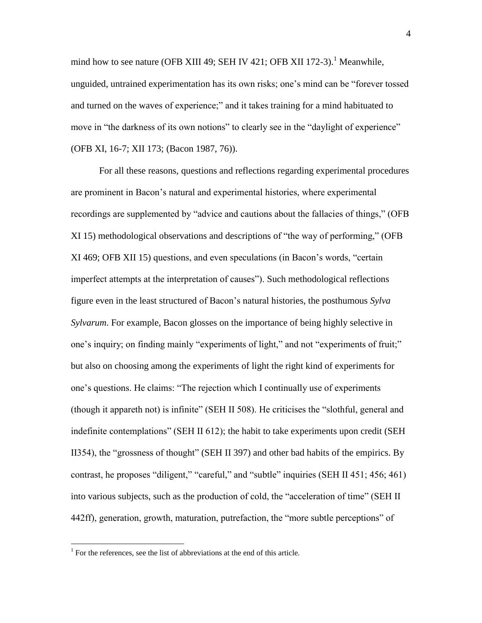mind how to see nature (OFB XIII 49; SEH IV 421; OFB XII 172-3).<sup>1</sup> Meanwhile, unguided, untrained experimentation has its own risks; one's mind can be "forever tossed and turned on the waves of experience;" and it takes training for a mind habituated to move in "the darkness of its own notions" to clearly see in the "daylight of experience" (OFB XI, 16-7; XII 173; [\(Bacon 1987, 76\)](#page-27-6)).

For all these reasons, questions and reflections regarding experimental procedures are prominent in Bacon's natural and experimental histories, where experimental recordings are supplemented by "advice and cautions about the fallacies of things," (OFB XI 15) methodological observations and descriptions of "the way of performing," (OFB XI 469; OFB XII 15) questions, and even speculations (in Bacon's words, "certain imperfect attempts at the interpretation of causes"). Such methodological reflections figure even in the least structured of Bacon's natural histories, the posthumous *Sylva Sylvarum*. For example, Bacon glosses on the importance of being highly selective in one's inquiry; on finding mainly "experiments of light," and not "experiments of fruit;" but also on choosing among the experiments of light the right kind of experiments for one's questions. He claims: "The rejection which I continually use of experiments (though it appareth not) is infinite" (SEH II 508). He criticises the "slothful, general and indefinite contemplations" (SEH II 612); the habit to take experiments upon credit (SEH II354), the "grossness of thought" (SEH II 397) and other bad habits of the empirics. By contrast, he proposes "diligent," "careful," and "subtle" inquiries (SEH II 451; 456; 461) into various subjects, such as the production of cold, the "acceleration of time" (SEH II 442ff), generation, growth, maturation, putrefaction, the "more subtle perceptions" of

 $<sup>1</sup>$  For the references, see the list of abbreviations at the end of this article.</sup>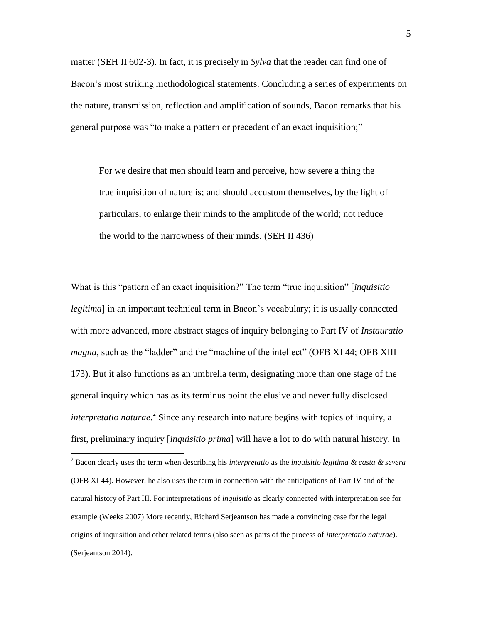matter (SEH II 602-3). In fact, it is precisely in *Sylva* that the reader can find one of Bacon's most striking methodological statements. Concluding a series of experiments on the nature, transmission, reflection and amplification of sounds, Bacon remarks that his general purpose was "to make a pattern or precedent of an exact inquisition;"

For we desire that men should learn and perceive, how severe a thing the true inquisition of nature is; and should accustom themselves, by the light of particulars, to enlarge their minds to the amplitude of the world; not reduce the world to the narrowness of their minds. (SEH II 436)

What is this "pattern of an exact inquisition?" The term "true inquisition" [*inquisitio legitima*] in an important technical term in Bacon's vocabulary; it is usually connected with more advanced, more abstract stages of inquiry belonging to Part IV of *Instauratio magna*, such as the "ladder" and the "machine of the intellect" (OFB XI 44; OFB XIII 173). But it also functions as an umbrella term, designating more than one stage of the general inquiry which has as its terminus point the elusive and never fully disclosed *interpretatio naturae*. 2 Since any research into nature begins with topics of inquiry, a first, preliminary inquiry [*inquisitio prima*] will have a lot to do with natural history. In

<sup>2</sup> Bacon clearly uses the term when describing his *interpretatio* as the *inquisitio legitima & casta & severa* (OFB XI 44). However, he also uses the term in connection with the anticipations of Part IV and of the natural history of Part III. For interpretations of *inquisitio* as clearly connected with interpretation see for example [\(Weeks 2007\)](#page-28-1) More recently, Richard Serjeantson has made a convincing case for the legal origins of inquisition and other related terms (also seen as parts of the process of *interpretatio naturae*). [\(Serjeantson 2014\)](#page-28-2).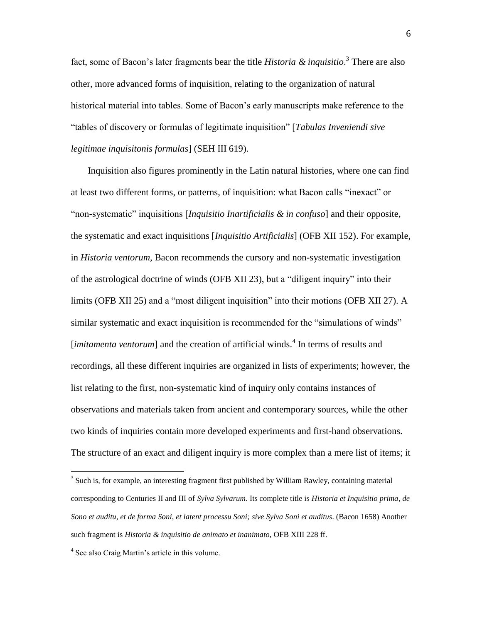fact, some of Bacon's later fragments bear the title *Historia & inquisitio*. 3 There are also other, more advanced forms of inquisition, relating to the organization of natural historical material into tables. Some of Bacon's early manuscripts make reference to the "tables of discovery or formulas of legitimate inquisition" [*Tabulas Inveniendi sive legitimae inquisitonis formulas*] (SEH III 619).

Inquisition also figures prominently in the Latin natural histories, where one can find at least two different forms, or patterns, of inquisition: what Bacon calls "inexact" or "non-systematic" inquisitions [*Inquisitio Inartificialis & in confuso*] and their opposite, the systematic and exact inquisitions [*Inquisitio Artificialis*] (OFB XII 152). For example, in *Historia ventorum,* Bacon recommends the cursory and non-systematic investigation of the astrological doctrine of winds (OFB XII 23), but a "diligent inquiry" into their limits (OFB XII 25) and a "most diligent inquisition" into their motions (OFB XII 27). A similar systematic and exact inquisition is recommended for the "simulations of winds" [*imitamenta ventorum*] and the creation of artificial winds.<sup>4</sup> In terms of results and recordings, all these different inquiries are organized in lists of experiments; however, the list relating to the first, non-systematic kind of inquiry only contains instances of observations and materials taken from ancient and contemporary sources, while the other two kinds of inquiries contain more developed experiments and first-hand observations. The structure of an exact and diligent inquiry is more complex than a mere list of items; it

 $3$  Such is, for example, an interesting fragment first published by William Rawley, containing material corresponding to Centuries II and III of *Sylva Sylvarum*. Its complete title is *Historia et Inquisitio prima, de Sono et auditu, et de forma Soni, et latent processu Soni; sive Sylva Soni et auditus*. [\(Bacon 1658\)](#page-27-7) Another such fragment is *Historia & inquisitio de animato et inanimato*, OFB XIII 228 ff.

<sup>&</sup>lt;sup>4</sup> See also Craig Martin's article in this volume.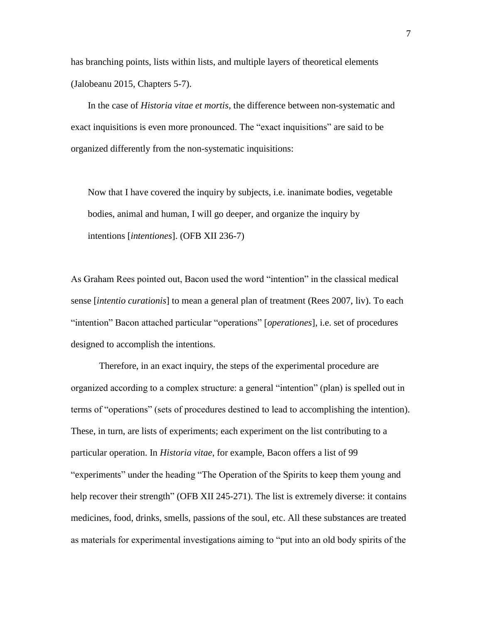has branching points, lists within lists, and multiple layers of theoretical elements [\(Jalobeanu 2015, Chapters 5-7\)](#page-27-8).

In the case of *Historia vitae et mortis*, the difference between non-systematic and exact inquisitions is even more pronounced. The "exact inquisitions" are said to be organized differently from the non-systematic inquisitions:

Now that I have covered the inquiry by subjects, i.e. inanimate bodies, vegetable bodies, animal and human, I will go deeper, and organize the inquiry by intentions [*intentiones*]. (OFB XII 236-7)

As Graham Rees pointed out, Bacon used the word "intention" in the classical medical sense [*intentio curationis*] to mean a general plan of treatment [\(Rees 2007, liv\)](#page-28-3). To each "intention" Bacon attached particular "operations" [*operationes*], i.e. set of procedures designed to accomplish the intentions.

Therefore, in an exact inquiry, the steps of the experimental procedure are organized according to a complex structure: a general "intention" (plan) is spelled out in terms of "operations" (sets of procedures destined to lead to accomplishing the intention). These, in turn, are lists of experiments; each experiment on the list contributing to a particular operation. In *Historia vitae*, for example, Bacon offers a list of 99 "experiments" under the heading "The Operation of the Spirits to keep them young and help recover their strength" (OFB XII 245-271). The list is extremely diverse: it contains medicines, food, drinks, smells, passions of the soul, etc. All these substances are treated as materials for experimental investigations aiming to "put into an old body spirits of the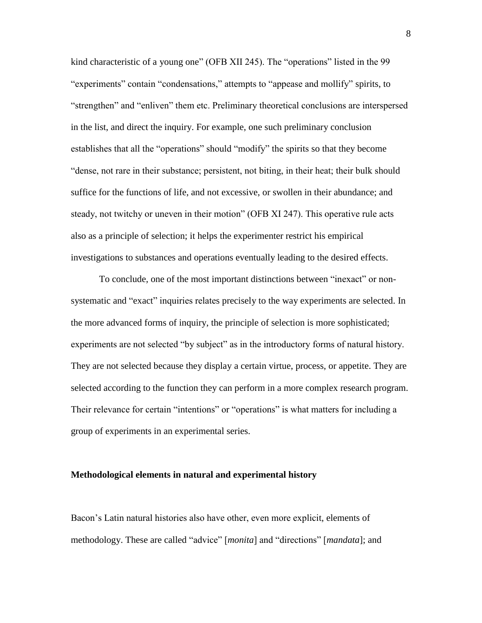kind characteristic of a young one" (OFB XII 245). The "operations" listed in the 99 "experiments" contain "condensations," attempts to "appease and mollify" spirits, to "strengthen" and "enliven" them etc. Preliminary theoretical conclusions are interspersed in the list, and direct the inquiry. For example, one such preliminary conclusion establishes that all the "operations" should "modify" the spirits so that they become "dense, not rare in their substance; persistent, not biting, in their heat; their bulk should suffice for the functions of life, and not excessive, or swollen in their abundance; and steady, not twitchy or uneven in their motion" (OFB XI 247). This operative rule acts also as a principle of selection; it helps the experimenter restrict his empirical investigations to substances and operations eventually leading to the desired effects.

To conclude, one of the most important distinctions between "inexact" or nonsystematic and "exact" inquiries relates precisely to the way experiments are selected. In the more advanced forms of inquiry, the principle of selection is more sophisticated; experiments are not selected "by subject" as in the introductory forms of natural history. They are not selected because they display a certain virtue, process, or appetite. They are selected according to the function they can perform in a more complex research program. Their relevance for certain "intentions" or "operations" is what matters for including a group of experiments in an experimental series.

### **Methodological elements in natural and experimental history**

Bacon's Latin natural histories also have other, even more explicit, elements of methodology. These are called "advice" [*monita*] and "directions" [*mandata*]; and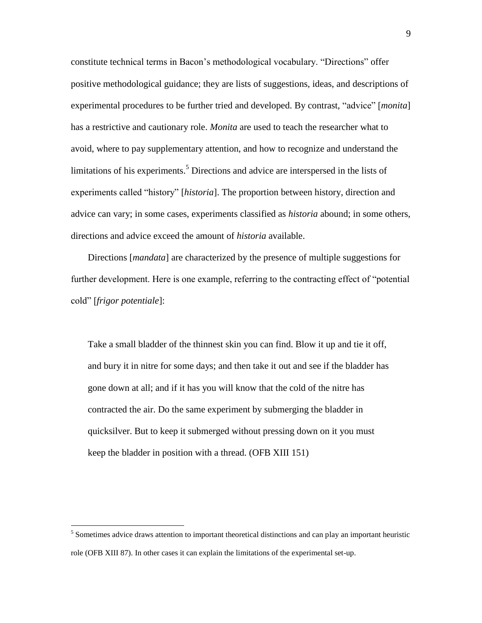constitute technical terms in Bacon's methodological vocabulary. "Directions" offer positive methodological guidance; they are lists of suggestions, ideas, and descriptions of experimental procedures to be further tried and developed. By contrast, "advice" [*monita*] has a restrictive and cautionary role. *Monita* are used to teach the researcher what to avoid, where to pay supplementary attention, and how to recognize and understand the limitations of his experiments.<sup>5</sup> Directions and advice are interspersed in the lists of experiments called "history" [*historia*]. The proportion between history, direction and advice can vary; in some cases, experiments classified as *historia* abound; in some others, directions and advice exceed the amount of *historia* available.

Directions [*mandata*] are characterized by the presence of multiple suggestions for further development. Here is one example, referring to the contracting effect of "potential cold" [*frigor potentiale*]:

Take a small bladder of the thinnest skin you can find. Blow it up and tie it off, and bury it in nitre for some days; and then take it out and see if the bladder has gone down at all; and if it has you will know that the cold of the nitre has contracted the air. Do the same experiment by submerging the bladder in quicksilver. But to keep it submerged without pressing down on it you must keep the bladder in position with a thread. (OFB XIII 151)

<sup>&</sup>lt;sup>5</sup> Sometimes advice draws attention to important theoretical distinctions and can play an important heuristic role (OFB XIII 87). In other cases it can explain the limitations of the experimental set-up.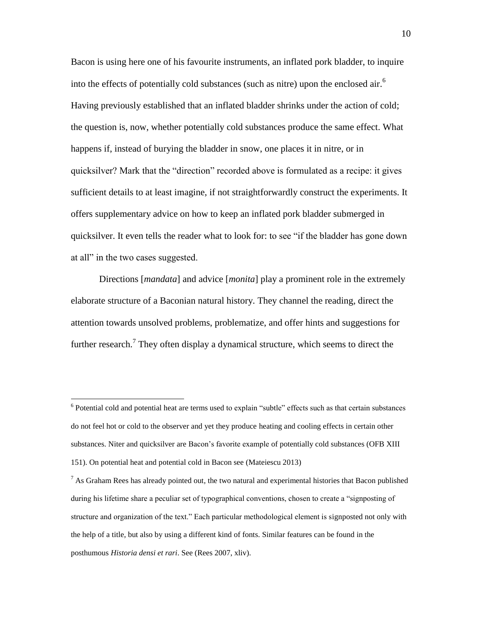Bacon is using here one of his favourite instruments, an inflated pork bladder, to inquire into the effects of potentially cold substances (such as nitre) upon the enclosed air.<sup>6</sup> Having previously established that an inflated bladder shrinks under the action of cold; the question is, now, whether potentially cold substances produce the same effect. What happens if, instead of burying the bladder in snow, one places it in nitre, or in quicksilver? Mark that the "direction" recorded above is formulated as a recipe: it gives sufficient details to at least imagine, if not straightforwardly construct the experiments. It offers supplementary advice on how to keep an inflated pork bladder submerged in quicksilver. It even tells the reader what to look for: to see "if the bladder has gone down at all" in the two cases suggested.

Directions [*mandata*] and advice [*monita*] play a prominent role in the extremely elaborate structure of a Baconian natural history. They channel the reading, direct the attention towards unsolved problems, problematize, and offer hints and suggestions for further research.<sup>7</sup> They often display a dynamical structure, which seems to direct the

<sup>&</sup>lt;sup>6</sup> Potential cold and potential heat are terms used to explain "subtle" effects such as that certain substances do not feel hot or cold to the observer and yet they produce heating and cooling effects in certain other substances. Niter and quicksilver are Bacon's favorite example of potentially cold substances (OFB XIII 151). On potential heat and potential cold in Bacon see [\(Mateiescu 2013\)](#page-27-9)

 $<sup>7</sup>$  As Graham Rees has already pointed out, the two natural and experimental histories that Bacon published</sup> during his lifetime share a peculiar set of typographical conventions, chosen to create a "signposting of structure and organization of the text." Each particular methodological element is signposted not only with the help of a title, but also by using a different kind of fonts. Similar features can be found in the posthumous *Historia densi et rari*. See [\(Rees 2007, xliv\)](#page-28-3).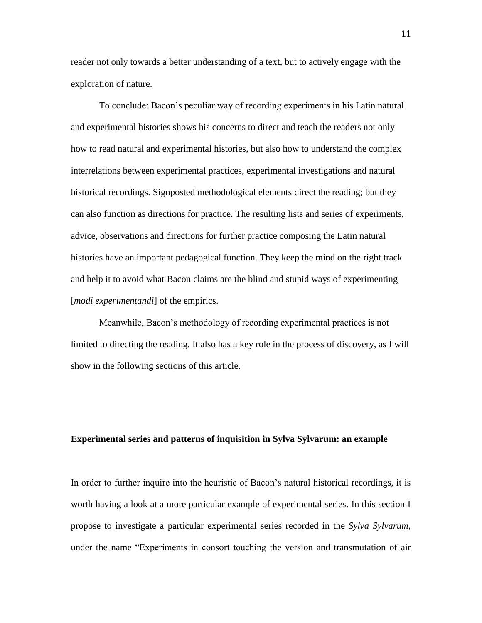reader not only towards a better understanding of a text, but to actively engage with the exploration of nature.

To conclude: Bacon's peculiar way of recording experiments in his Latin natural and experimental histories shows his concerns to direct and teach the readers not only how to read natural and experimental histories, but also how to understand the complex interrelations between experimental practices, experimental investigations and natural historical recordings. Signposted methodological elements direct the reading; but they can also function as directions for practice. The resulting lists and series of experiments, advice, observations and directions for further practice composing the Latin natural histories have an important pedagogical function. They keep the mind on the right track and help it to avoid what Bacon claims are the blind and stupid ways of experimenting [*modi experimentandi*] of the empirics.

Meanwhile, Bacon's methodology of recording experimental practices is not limited to directing the reading. It also has a key role in the process of discovery, as I will show in the following sections of this article.

# **Experimental series and patterns of inquisition in Sylva Sylvarum: an example**

In order to further inquire into the heuristic of Bacon's natural historical recordings, it is worth having a look at a more particular example of experimental series. In this section I propose to investigate a particular experimental series recorded in the *Sylva Sylvarum*, under the name "Experiments in consort touching the version and transmutation of air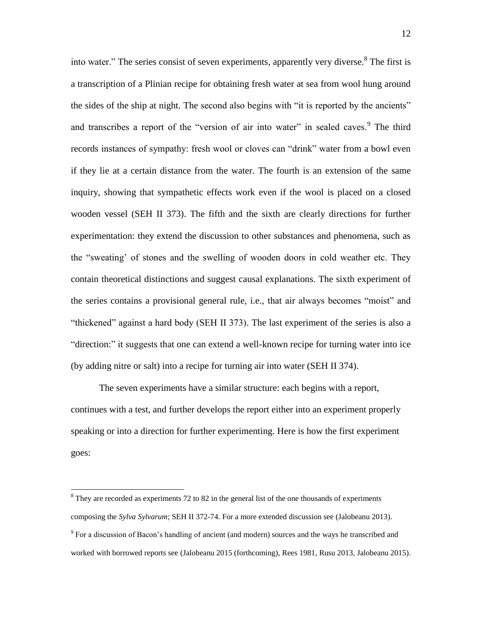into water." The series consist of seven experiments, apparently very diverse.<sup>8</sup> The first is a transcription of a Plinian recipe for obtaining fresh water at sea from wool hung around the sides of the ship at night. The second also begins with "it is reported by the ancients" and transcribes a report of the "version of air into water" in sealed caves. The third records instances of sympathy: fresh wool or cloves can "drink" water from a bowl even if they lie at a certain distance from the water. The fourth is an extension of the same inquiry, showing that sympathetic effects work even if the wool is placed on a closed wooden vessel (SEH II 373). The fifth and the sixth are clearly directions for further experimentation: they extend the discussion to other substances and phenomena, such as the "sweating' of stones and the swelling of wooden doors in cold weather etc. They contain theoretical distinctions and suggest causal explanations. The sixth experiment of the series contains a provisional general rule, i.e., that air always becomes "moist" and "thickened" against a hard body (SEH II 373). The last experiment of the series is also a "direction:" it suggests that one can extend a well-known recipe for turning water into ice (by adding nitre or salt) into a recipe for turning air into water (SEH II 374).

The seven experiments have a similar structure: each begins with a report, continues with a test, and further develops the report either into an experiment properly speaking or into a direction for further experimenting. Here is how the first experiment goes:

 $8$  They are recorded as experiments 72 to 82 in the general list of the one thousands of experiments composing the *Sylva Sylvarum*; SEH II 372-74. For a more extended discussion see [\(Jalobeanu 2013\)](#page-27-5). <sup>9</sup> For a discussion of Bacon's handling of ancient (and modern) sources and the ways he transcribed and worked with borrowed reports see [\(Jalobeanu 2015 \(forthcoming\),](#page-27-10) [Rees 1981,](#page-28-4) [Rusu 2013,](#page-28-5) [Jalobeanu 2015\)](#page-27-8).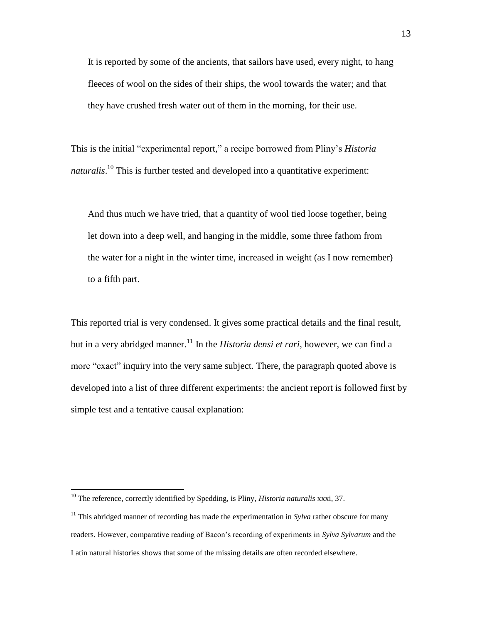It is reported by some of the ancients, that sailors have used, every night, to hang fleeces of wool on the sides of their ships, the wool towards the water; and that they have crushed fresh water out of them in the morning, for their use.

This is the initial "experimental report," a recipe borrowed from Pliny's *Historia naturalis*. <sup>10</sup> This is further tested and developed into a quantitative experiment:

And thus much we have tried, that a quantity of wool tied loose together, being let down into a deep well, and hanging in the middle, some three fathom from the water for a night in the winter time, increased in weight (as I now remember) to a fifth part.

This reported trial is very condensed. It gives some practical details and the final result, but in a very abridged manner.<sup>11</sup> In the *Historia densi et rari*, however, we can find a more "exact" inquiry into the very same subject. There, the paragraph quoted above is developed into a list of three different experiments: the ancient report is followed first by simple test and a tentative causal explanation:

<sup>10</sup> The reference, correctly identified by Spedding, is Pliny, *Historia naturalis* xxxi, 37.

<sup>&</sup>lt;sup>11</sup> This abridged manner of recording has made the experimentation in *Sylva* rather obscure for many readers. However, comparative reading of Bacon's recording of experiments in *Sylva Sylvarum* and the Latin natural histories shows that some of the missing details are often recorded elsewhere.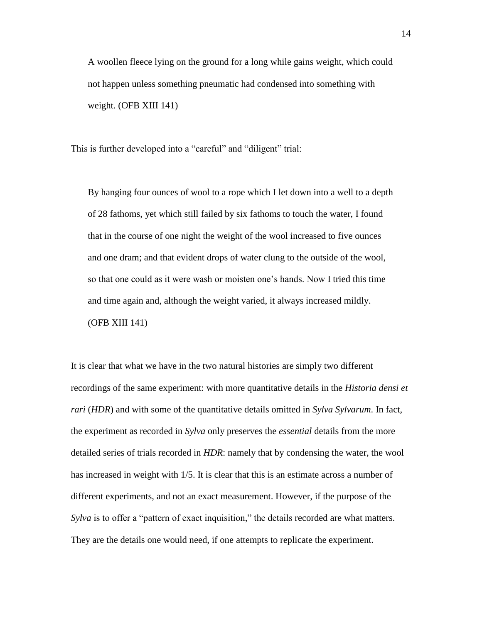A woollen fleece lying on the ground for a long while gains weight, which could not happen unless something pneumatic had condensed into something with weight. (OFB XIII 141)

This is further developed into a "careful" and "diligent" trial:

By hanging four ounces of wool to a rope which I let down into a well to a depth of 28 fathoms, yet which still failed by six fathoms to touch the water, I found that in the course of one night the weight of the wool increased to five ounces and one dram; and that evident drops of water clung to the outside of the wool, so that one could as it were wash or moisten one's hands. Now I tried this time and time again and, although the weight varied, it always increased mildly. (OFB XIII 141)

It is clear that what we have in the two natural histories are simply two different recordings of the same experiment: with more quantitative details in the *Historia densi et rari* (*HDR*) and with some of the quantitative details omitted in *Sylva Sylvarum*. In fact, the experiment as recorded in *Sylva* only preserves the *essential* details from the more detailed series of trials recorded in *HDR*: namely that by condensing the water, the wool has increased in weight with 1/5. It is clear that this is an estimate across a number of different experiments, and not an exact measurement. However, if the purpose of the *Sylva* is to offer a "pattern of exact inquisition," the details recorded are what matters. They are the details one would need, if one attempts to replicate the experiment.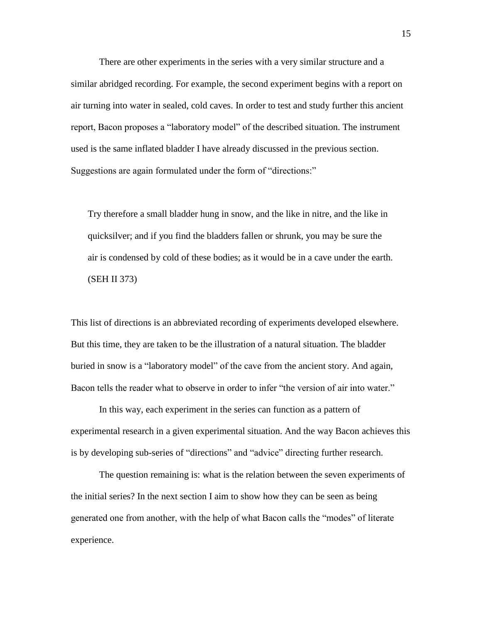There are other experiments in the series with a very similar structure and a similar abridged recording. For example, the second experiment begins with a report on air turning into water in sealed, cold caves. In order to test and study further this ancient report, Bacon proposes a "laboratory model" of the described situation. The instrument used is the same inflated bladder I have already discussed in the previous section. Suggestions are again formulated under the form of "directions:"

Try therefore a small bladder hung in snow, and the like in nitre, and the like in quicksilver; and if you find the bladders fallen or shrunk, you may be sure the air is condensed by cold of these bodies; as it would be in a cave under the earth. (SEH II 373)

This list of directions is an abbreviated recording of experiments developed elsewhere. But this time, they are taken to be the illustration of a natural situation. The bladder buried in snow is a "laboratory model" of the cave from the ancient story. And again, Bacon tells the reader what to observe in order to infer "the version of air into water."

In this way, each experiment in the series can function as a pattern of experimental research in a given experimental situation. And the way Bacon achieves this is by developing sub-series of "directions" and "advice" directing further research.

The question remaining is: what is the relation between the seven experiments of the initial series? In the next section I aim to show how they can be seen as being generated one from another, with the help of what Bacon calls the "modes" of literate experience.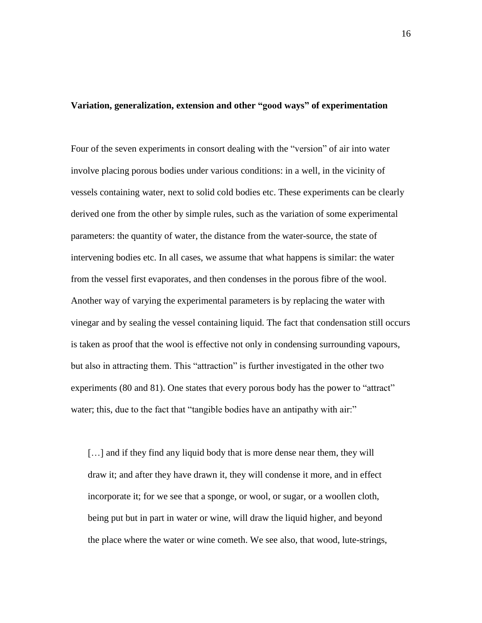# **Variation, generalization, extension and other "good ways" of experimentation**

Four of the seven experiments in consort dealing with the "version" of air into water involve placing porous bodies under various conditions: in a well, in the vicinity of vessels containing water, next to solid cold bodies etc. These experiments can be clearly derived one from the other by simple rules, such as the variation of some experimental parameters: the quantity of water, the distance from the water-source, the state of intervening bodies etc. In all cases, we assume that what happens is similar: the water from the vessel first evaporates, and then condenses in the porous fibre of the wool. Another way of varying the experimental parameters is by replacing the water with vinegar and by sealing the vessel containing liquid. The fact that condensation still occurs is taken as proof that the wool is effective not only in condensing surrounding vapours, but also in attracting them. This "attraction" is further investigated in the other two experiments (80 and 81). One states that every porous body has the power to "attract" water; this, due to the fact that "tangible bodies have an antipathy with air:"

[...] and if they find any liquid body that is more dense near them, they will draw it; and after they have drawn it, they will condense it more, and in effect incorporate it; for we see that a sponge, or wool, or sugar, or a woollen cloth, being put but in part in water or wine, will draw the liquid higher, and beyond the place where the water or wine cometh. We see also, that wood, lute-strings,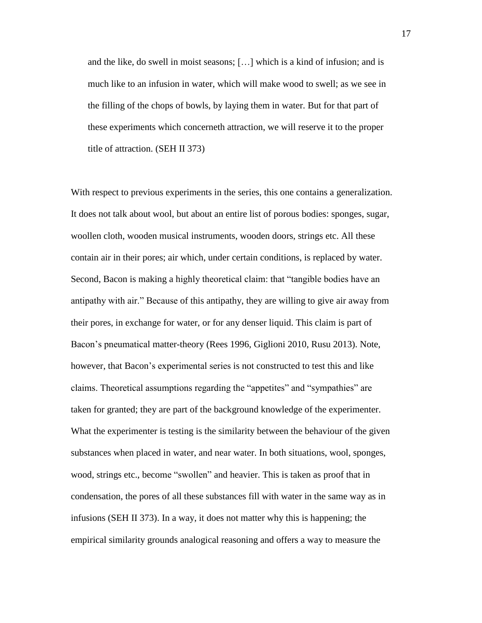and the like, do swell in moist seasons; […] which is a kind of infusion; and is much like to an infusion in water, which will make wood to swell; as we see in the filling of the chops of bowls, by laying them in water. But for that part of these experiments which concerneth attraction, we will reserve it to the proper title of attraction. (SEH II 373)

With respect to previous experiments in the series, this one contains a generalization. It does not talk about wool, but about an entire list of porous bodies: sponges, sugar, woollen cloth, wooden musical instruments, wooden doors, strings etc. All these contain air in their pores; air which, under certain conditions, is replaced by water. Second, Bacon is making a highly theoretical claim: that "tangible bodies have an antipathy with air." Because of this antipathy, they are willing to give air away from their pores, in exchange for water, or for any denser liquid. This claim is part of Bacon's pneumatical matter-theory [\(Rees 1996,](#page-28-6) [Giglioni 2010,](#page-27-11) [Rusu 2013\)](#page-28-5). Note, however, that Bacon's experimental series is not constructed to test this and like claims. Theoretical assumptions regarding the "appetites" and "sympathies" are taken for granted; they are part of the background knowledge of the experimenter. What the experimenter is testing is the similarity between the behaviour of the given substances when placed in water, and near water. In both situations, wool, sponges, wood, strings etc., become "swollen" and heavier. This is taken as proof that in condensation, the pores of all these substances fill with water in the same way as in infusions (SEH II 373). In a way, it does not matter why this is happening; the empirical similarity grounds analogical reasoning and offers a way to measure the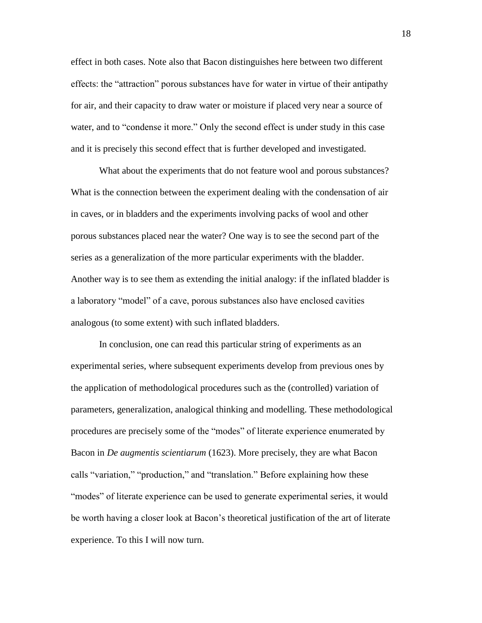effect in both cases. Note also that Bacon distinguishes here between two different effects: the "attraction" porous substances have for water in virtue of their antipathy for air, and their capacity to draw water or moisture if placed very near a source of water, and to "condense it more." Only the second effect is under study in this case and it is precisely this second effect that is further developed and investigated.

What about the experiments that do not feature wool and porous substances? What is the connection between the experiment dealing with the condensation of air in caves, or in bladders and the experiments involving packs of wool and other porous substances placed near the water? One way is to see the second part of the series as a generalization of the more particular experiments with the bladder. Another way is to see them as extending the initial analogy: if the inflated bladder is a laboratory "model" of a cave, porous substances also have enclosed cavities analogous (to some extent) with such inflated bladders.

In conclusion, one can read this particular string of experiments as an experimental series, where subsequent experiments develop from previous ones by the application of methodological procedures such as the (controlled) variation of parameters, generalization, analogical thinking and modelling. These methodological procedures are precisely some of the "modes" of literate experience enumerated by Bacon in *De augmentis scientiarum* (1623). More precisely, they are what Bacon calls "variation," "production," and "translation." Before explaining how these "modes" of literate experience can be used to generate experimental series, it would be worth having a closer look at Bacon's theoretical justification of the art of literate experience. To this I will now turn.

18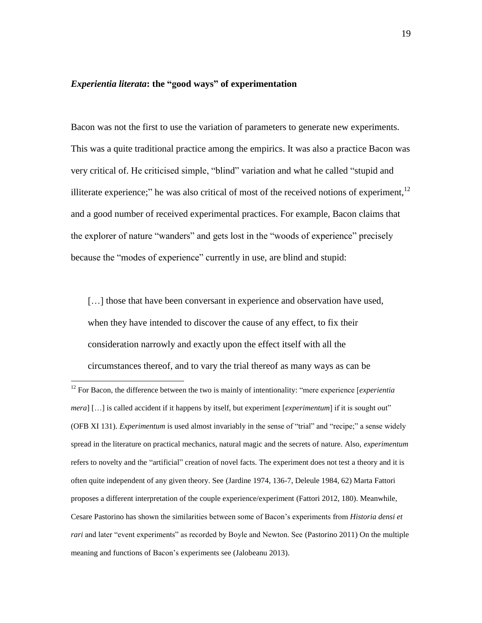## *Experientia literata***: the "good ways" of experimentation**

Bacon was not the first to use the variation of parameters to generate new experiments. This was a quite traditional practice among the empirics. It was also a practice Bacon was very critical of. He criticised simple, "blind" variation and what he called "stupid and illiterate experience;" he was also critical of most of the received notions of experiment, $12$ and a good number of received experimental practices. For example, Bacon claims that the explorer of nature "wanders" and gets lost in the "woods of experience" precisely because the "modes of experience" currently in use, are blind and stupid:

[...] those that have been conversant in experience and observation have used, when they have intended to discover the cause of any effect, to fix their consideration narrowly and exactly upon the effect itself with all the circumstances thereof, and to vary the trial thereof as many ways as can be

 $\overline{a}$ <sup>12</sup> For Bacon, the difference between the two is mainly of intentionality: "mere experience [*experientia mera*] […] is called accident if it happens by itself, but experiment [*experimentum*] if it is sought out" (OFB XI 131). *Experimentum* is used almost invariably in the sense of "trial" and "recipe;" a sense widely spread in the literature on practical mechanics, natural magic and the secrets of nature. Also, *experimentum* refers to novelty and the "artificial" creation of novel facts. The experiment does not test a theory and it is often quite independent of any given theory. See [\(Jardine 1974, 136-7,](#page-27-12) [Deleule 1984, 62\)](#page-27-13) Marta Fattori proposes a different interpretation of the couple experience/experiment [\(Fattori 2012, 180\)](#page-27-14). Meanwhile, Cesare Pastorino has shown the similarities between some of Bacon's experiments from *Historia densi et rari* and later "event experiments" as recorded by Boyle and Newton. See [\(Pastorino 2011\)](#page-27-4) On the multiple meaning and functions of Bacon's experiments see [\(Jalobeanu 2013\)](#page-27-5).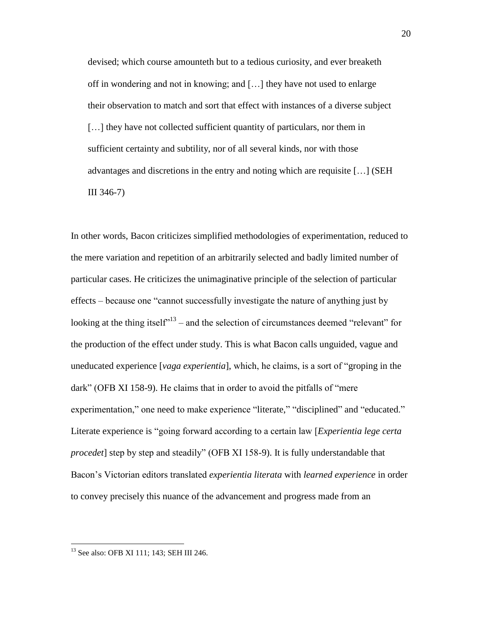devised; which course amounteth but to a tedious curiosity, and ever breaketh off in wondering and not in knowing; and […] they have not used to enlarge their observation to match and sort that effect with instances of a diverse subject [...] they have not collected sufficient quantity of particulars, nor them in sufficient certainty and subtility, nor of all several kinds, nor with those advantages and discretions in the entry and noting which are requisite […] (SEH III 346-7)

In other words, Bacon criticizes simplified methodologies of experimentation, reduced to the mere variation and repetition of an arbitrarily selected and badly limited number of particular cases. He criticizes the unimaginative principle of the selection of particular effects – because one "cannot successfully investigate the nature of anything just by looking at the thing itself<sup> $13$ </sup> – and the selection of circumstances deemed "relevant" for the production of the effect under study. This is what Bacon calls unguided, vague and uneducated experience [*vaga experientia*], which, he claims, is a sort of "groping in the dark" (OFB XI 158-9). He claims that in order to avoid the pitfalls of "mere experimentation," one need to make experience "literate," "disciplined" and "educated." Literate experience is "going forward according to a certain law [*Experientia lege certa procedet*] step by step and steadily" (OFB XI 158-9). It is fully understandable that Bacon's Victorian editors translated *experientia literata* with *learned experience* in order to convey precisely this nuance of the advancement and progress made from an

<sup>&</sup>lt;sup>13</sup> See also: OFB XI 111; 143; SEH III 246.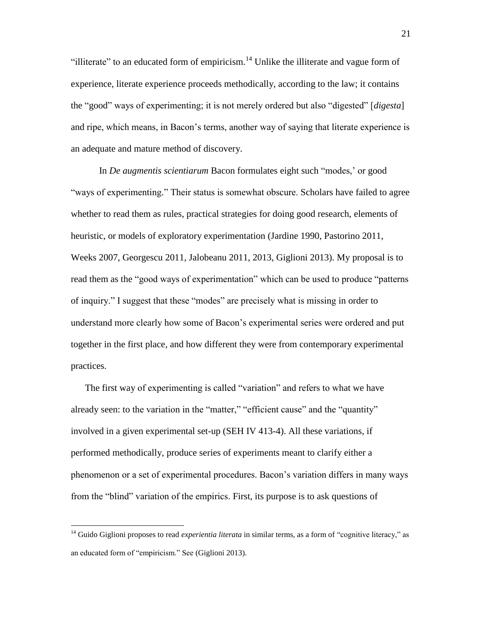"illiterate" to an educated form of empiricism.<sup>14</sup> Unlike the illiterate and vague form of experience, literate experience proceeds methodically, according to the law; it contains the "good" ways of experimenting; it is not merely ordered but also "digested" [*digesta*] and ripe, which means, in Bacon's terms, another way of saying that literate experience is an adequate and mature method of discovery.

In *De augmentis scientiarum* Bacon formulates eight such "modes,' or good "ways of experimenting." Their status is somewhat obscure. Scholars have failed to agree whether to read them as rules, practical strategies for doing good research, elements of heuristic, or models of exploratory experimentation [\(Jardine 1990,](#page-27-15) [Pastorino 2011,](#page-27-4) [Weeks 2007,](#page-28-1) [Georgescu 2011,](#page-27-1) [Jalobeanu 2011,](#page-27-0) [2013,](#page-27-5) [Giglioni 2013\)](#page-27-2). My proposal is to read them as the "good ways of experimentation" which can be used to produce "patterns of inquiry." I suggest that these "modes" are precisely what is missing in order to understand more clearly how some of Bacon's experimental series were ordered and put together in the first place, and how different they were from contemporary experimental practices.

The first way of experimenting is called "variation" and refers to what we have already seen: to the variation in the "matter," "efficient cause" and the "quantity" involved in a given experimental set-up (SEH IV 413-4). All these variations, if performed methodically, produce series of experiments meant to clarify either a phenomenon or a set of experimental procedures. Bacon's variation differs in many ways from the "blind" variation of the empirics. First, its purpose is to ask questions of

<sup>&</sup>lt;sup>14</sup> Guido Giglioni proposes to read *experientia literata* in similar terms, as a form of "cognitive literacy," as an educated form of "empiricism." See [\(Giglioni 2013\)](#page-27-2).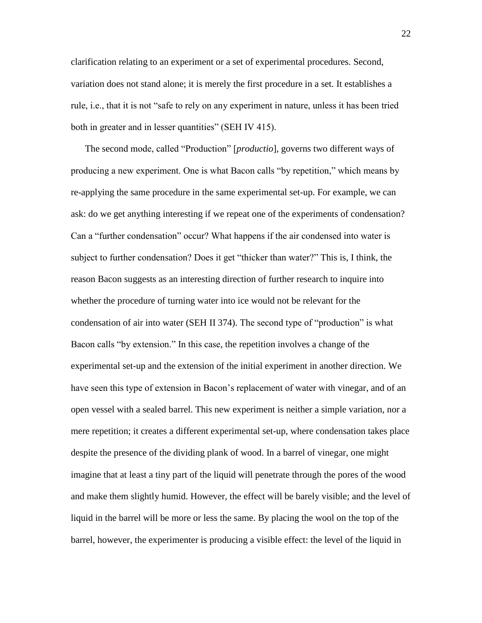clarification relating to an experiment or a set of experimental procedures. Second, variation does not stand alone; it is merely the first procedure in a set. It establishes a rule, i.e., that it is not "safe to rely on any experiment in nature, unless it has been tried both in greater and in lesser quantities" (SEH IV 415).

The second mode, called "Production" [*productio*], governs two different ways of producing a new experiment. One is what Bacon calls "by repetition," which means by re-applying the same procedure in the same experimental set-up. For example, we can ask: do we get anything interesting if we repeat one of the experiments of condensation? Can a "further condensation" occur? What happens if the air condensed into water is subject to further condensation? Does it get "thicker than water?" This is, I think, the reason Bacon suggests as an interesting direction of further research to inquire into whether the procedure of turning water into ice would not be relevant for the condensation of air into water (SEH II 374). The second type of "production" is what Bacon calls "by extension." In this case, the repetition involves a change of the experimental set-up and the extension of the initial experiment in another direction. We have seen this type of extension in Bacon's replacement of water with vinegar, and of an open vessel with a sealed barrel. This new experiment is neither a simple variation, nor a mere repetition; it creates a different experimental set-up, where condensation takes place despite the presence of the dividing plank of wood. In a barrel of vinegar, one might imagine that at least a tiny part of the liquid will penetrate through the pores of the wood and make them slightly humid. However, the effect will be barely visible; and the level of liquid in the barrel will be more or less the same. By placing the wool on the top of the barrel, however, the experimenter is producing a visible effect: the level of the liquid in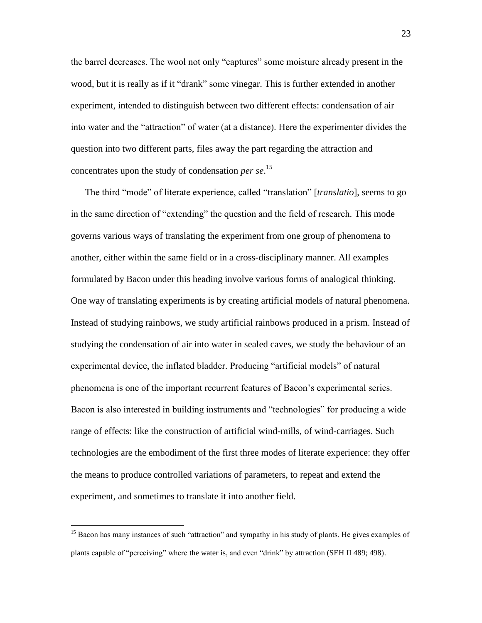the barrel decreases. The wool not only "captures" some moisture already present in the wood, but it is really as if it "drank" some vinegar. This is further extended in another experiment, intended to distinguish between two different effects: condensation of air into water and the "attraction" of water (at a distance). Here the experimenter divides the question into two different parts, files away the part regarding the attraction and concentrates upon the study of condensation *per se*. 15

The third "mode" of literate experience, called "translation" [*translatio*], seems to go in the same direction of "extending" the question and the field of research. This mode governs various ways of translating the experiment from one group of phenomena to another, either within the same field or in a cross-disciplinary manner. All examples formulated by Bacon under this heading involve various forms of analogical thinking. One way of translating experiments is by creating artificial models of natural phenomena. Instead of studying rainbows, we study artificial rainbows produced in a prism. Instead of studying the condensation of air into water in sealed caves, we study the behaviour of an experimental device, the inflated bladder. Producing "artificial models" of natural phenomena is one of the important recurrent features of Bacon's experimental series. Bacon is also interested in building instruments and "technologies" for producing a wide range of effects: like the construction of artificial wind-mills, of wind-carriages. Such technologies are the embodiment of the first three modes of literate experience: they offer the means to produce controlled variations of parameters, to repeat and extend the experiment, and sometimes to translate it into another field.

<sup>&</sup>lt;sup>15</sup> Bacon has many instances of such "attraction" and sympathy in his study of plants. He gives examples of plants capable of "perceiving" where the water is, and even "drink" by attraction (SEH II 489; 498).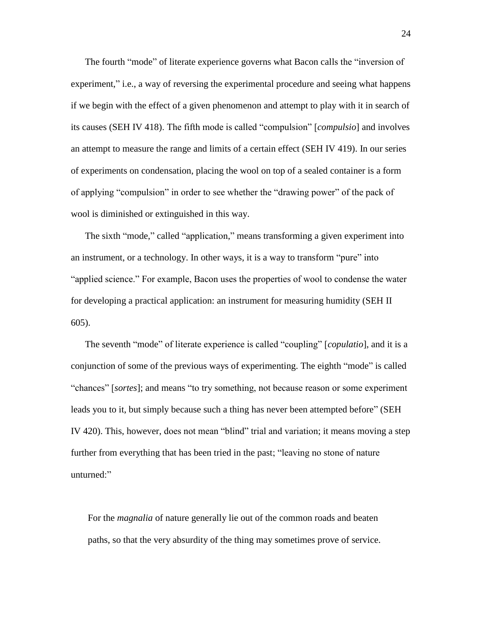The fourth "mode" of literate experience governs what Bacon calls the "inversion of experiment," i.e., a way of reversing the experimental procedure and seeing what happens if we begin with the effect of a given phenomenon and attempt to play with it in search of its causes (SEH IV 418). The fifth mode is called "compulsion" [*compulsio*] and involves an attempt to measure the range and limits of a certain effect (SEH IV 419). In our series of experiments on condensation, placing the wool on top of a sealed container is a form of applying "compulsion" in order to see whether the "drawing power" of the pack of wool is diminished or extinguished in this way.

The sixth "mode," called "application," means transforming a given experiment into an instrument, or a technology. In other ways, it is a way to transform "pure" into "applied science." For example, Bacon uses the properties of wool to condense the water for developing a practical application: an instrument for measuring humidity (SEH II 605).

The seventh "mode" of literate experience is called "coupling" [*copulatio*], and it is a conjunction of some of the previous ways of experimenting. The eighth "mode" is called "chances" [*sortes*]; and means "to try something, not because reason or some experiment leads you to it, but simply because such a thing has never been attempted before" (SEH IV 420). This, however, does not mean "blind" trial and variation; it means moving a step further from everything that has been tried in the past; "leaving no stone of nature unturned:"

For the *magnalia* of nature generally lie out of the common roads and beaten paths, so that the very absurdity of the thing may sometimes prove of service. 24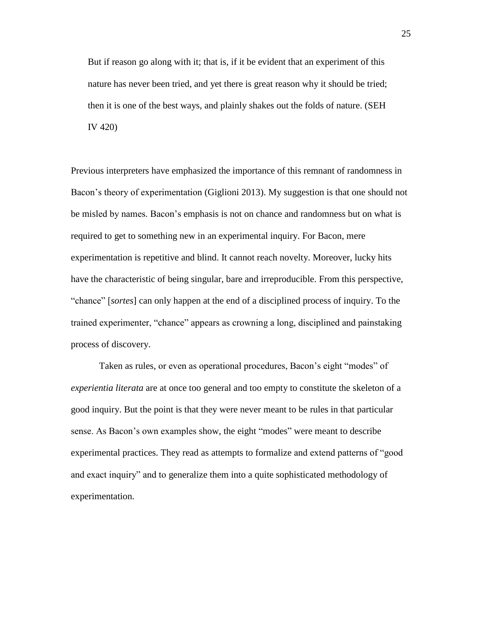But if reason go along with it; that is, if it be evident that an experiment of this nature has never been tried, and yet there is great reason why it should be tried; then it is one of the best ways, and plainly shakes out the folds of nature. (SEH IV 420)

Previous interpreters have emphasized the importance of this remnant of randomness in Bacon's theory of experimentation [\(Giglioni 2013\)](#page-27-2). My suggestion is that one should not be misled by names. Bacon's emphasis is not on chance and randomness but on what is required to get to something new in an experimental inquiry. For Bacon, mere experimentation is repetitive and blind. It cannot reach novelty. Moreover, lucky hits have the characteristic of being singular, bare and irreproducible. From this perspective, "chance" [*sortes*] can only happen at the end of a disciplined process of inquiry. To the trained experimenter, "chance" appears as crowning a long, disciplined and painstaking process of discovery.

Taken as rules, or even as operational procedures, Bacon's eight "modes" of *experientia literata* are at once too general and too empty to constitute the skeleton of a good inquiry. But the point is that they were never meant to be rules in that particular sense. As Bacon's own examples show, the eight "modes" were meant to describe experimental practices. They read as attempts to formalize and extend patterns of "good and exact inquiry" and to generalize them into a quite sophisticated methodology of experimentation.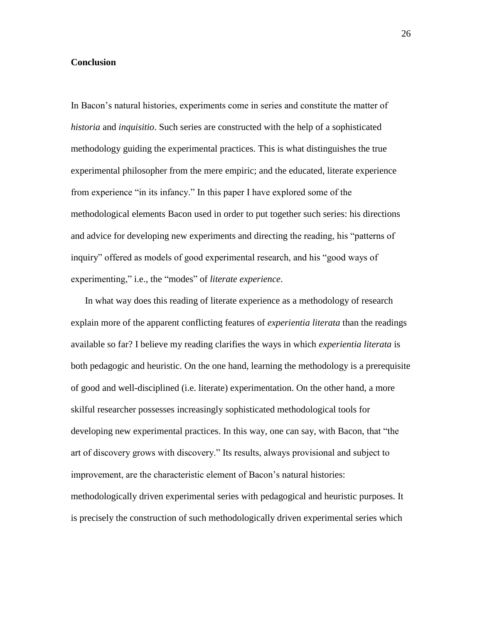## **Conclusion**

In Bacon's natural histories, experiments come in series and constitute the matter of *historia* and *inquisitio*. Such series are constructed with the help of a sophisticated methodology guiding the experimental practices. This is what distinguishes the true experimental philosopher from the mere empiric; and the educated, literate experience from experience "in its infancy." In this paper I have explored some of the methodological elements Bacon used in order to put together such series: his directions and advice for developing new experiments and directing the reading, his "patterns of inquiry" offered as models of good experimental research, and his "good ways of experimenting," i.e., the "modes" of *literate experience*.

In what way does this reading of literate experience as a methodology of research explain more of the apparent conflicting features of *experientia literata* than the readings available so far? I believe my reading clarifies the ways in which *experientia literata* is both pedagogic and heuristic. On the one hand, learning the methodology is a prerequisite of good and well-disciplined (i.e. literate) experimentation. On the other hand, a more skilful researcher possesses increasingly sophisticated methodological tools for developing new experimental practices. In this way, one can say, with Bacon, that "the art of discovery grows with discovery." Its results, always provisional and subject to improvement, are the characteristic element of Bacon's natural histories: methodologically driven experimental series with pedagogical and heuristic purposes. It is precisely the construction of such methodologically driven experimental series which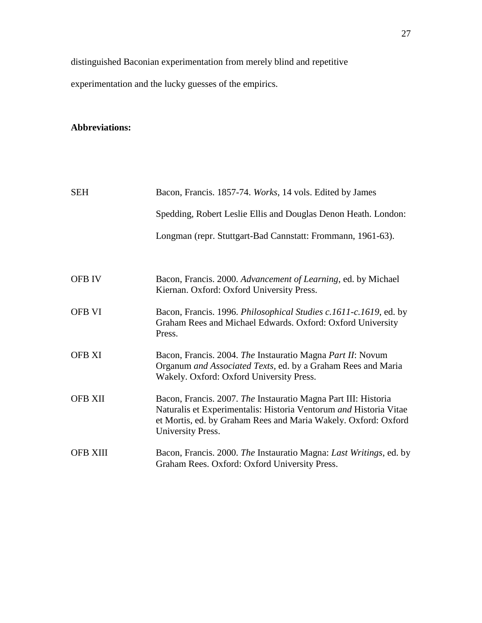distinguished Baconian experimentation from merely blind and repetitive

experimentation and the lucky guesses of the empirics.

# **Abbreviations:**

| <b>SEH</b>      | Bacon, Francis. 1857-74. Works, 14 vols. Edited by James                                                                                                                                                                   |
|-----------------|----------------------------------------------------------------------------------------------------------------------------------------------------------------------------------------------------------------------------|
|                 | Spedding, Robert Leslie Ellis and Douglas Denon Heath. London:                                                                                                                                                             |
|                 | Longman (repr. Stuttgart-Bad Cannstatt: Frommann, 1961-63).                                                                                                                                                                |
|                 |                                                                                                                                                                                                                            |
| <b>OFB IV</b>   | Bacon, Francis. 2000. Advancement of Learning, ed. by Michael<br>Kiernan. Oxford: Oxford University Press.                                                                                                                 |
| <b>OFB VI</b>   | Bacon, Francis. 1996. Philosophical Studies c.1611-c.1619, ed. by<br>Graham Rees and Michael Edwards. Oxford: Oxford University<br>Press.                                                                                  |
| <b>OFB XI</b>   | Bacon, Francis. 2004. The Instauratio Magna Part II: Novum<br>Organum and Associated Texts, ed. by a Graham Rees and Maria<br>Wakely. Oxford: Oxford University Press.                                                     |
| <b>OFB XII</b>  | Bacon, Francis. 2007. The Instauratio Magna Part III: Historia<br>Naturalis et Experimentalis: Historia Ventorum and Historia Vitae<br>et Mortis, ed. by Graham Rees and Maria Wakely. Oxford: Oxford<br>University Press. |
| <b>OFB XIII</b> | Bacon, Francis. 2000. The Instauratio Magna: Last Writings, ed. by<br>Graham Rees. Oxford: Oxford University Press.                                                                                                        |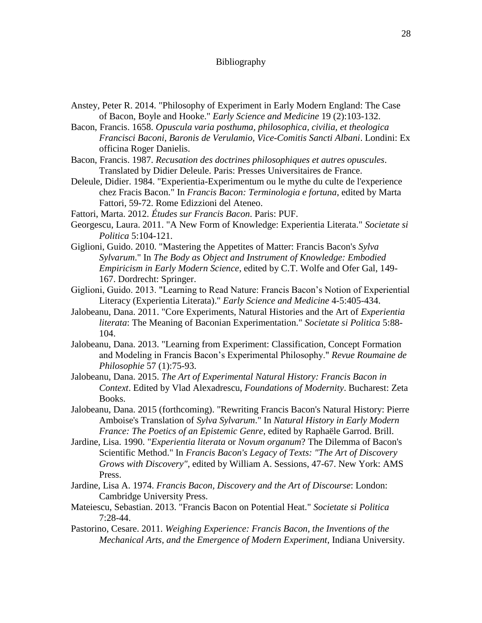## Bibliography

- <span id="page-27-3"></span>Anstey, Peter R. 2014. "Philosophy of Experiment in Early Modern England: The Case of Bacon, Boyle and Hooke." *Early Science and Medicine* 19 (2):103-132.
- <span id="page-27-7"></span>Bacon, Francis. 1658. *Opuscula varia posthuma, philosophica, civilia, et theologica Francisci Baconi, Baronis de Verulamio, Vice-Comitis Sancti Albani*. Londini: Ex officina Roger Danielis.
- <span id="page-27-6"></span>Bacon, Francis. 1987. *Recusation des doctrines philosophiques et autres opuscules*. Translated by Didier Deleule. Paris: Presses Universitaires de France.
- <span id="page-27-13"></span>Deleule, Didier. 1984. "Experientia-Experimentum ou le mythe du culte de l'experience chez Fracis Bacon." In *Francis Bacon: Terminologia e fortuna*, edited by Marta Fattori, 59-72. Rome Edizzioni del Ateneo.
- <span id="page-27-14"></span>Fattori, Marta. 2012. *Études sur Francis Bacon*. Paris: PUF.
- <span id="page-27-1"></span>Georgescu, Laura. 2011. "A New Form of Knowledge: Experientia Literata." *Societate si Politica* 5:104-121.
- <span id="page-27-11"></span>Giglioni, Guido. 2010. "Mastering the Appetites of Matter: Francis Bacon's *Sylva Sylvarum*." In *The Body as Object and Instrument of Knowledge: Embodied Empiricism in Early Modern Science*, edited by C.T. Wolfe and Ofer Gal, 149- 167. Dordrecht: Springer.
- <span id="page-27-2"></span>Giglioni, Guido. 2013. "Learning to Read Nature: Francis Bacon's Notion of Experiential Literacy (Experientia Literata)." *Early Science and Medicine* 4-5:405-434.
- <span id="page-27-0"></span>Jalobeanu, Dana. 2011. "Core Experiments, Natural Histories and the Art of *Experientia literata*: The Meaning of Baconian Experimentation." *Societate si Politica* 5:88- 104.
- <span id="page-27-5"></span>Jalobeanu, Dana. 2013. "Learning from Experiment: Classification, Concept Formation and Modeling in Francis Bacon's Experimental Philosophy." *Revue Roumaine de Philosophie* 57 (1):75-93.
- <span id="page-27-8"></span>Jalobeanu, Dana. 2015. *The Art of Experimental Natural History: Francis Bacon in Context*. Edited by Vlad Alexadrescu, *Foundations of Modernity*. Bucharest: Zeta Books.
- <span id="page-27-10"></span>Jalobeanu, Dana. 2015 (forthcoming). "Rewriting Francis Bacon's Natural History: Pierre Amboise's Translation of *Sylva Sylvarum*." In *Natural History in Early Modern France: The Poetics of an Epistemic Genre*, edited by Raphaële Garrod. Brill.
- <span id="page-27-15"></span>Jardine, Lisa. 1990. "*Experientia literata* or *Novum organum*? The Dilemma of Bacon's Scientific Method." In *Francis Bacon's Legacy of Texts: "The Art of Discovery Grows with Discovery"*, edited by William A. Sessions, 47-67. New York: AMS Press.
- <span id="page-27-12"></span>Jardine, Lisa A. 1974. *Francis Bacon, Discovery and the Art of Discourse*: London: Cambridge University Press.
- <span id="page-27-9"></span>Mateiescu, Sebastian. 2013. "Francis Bacon on Potential Heat." *Societate si Politica* 7:28-44.
- <span id="page-27-4"></span>Pastorino, Cesare. 2011. *Weighing Experience: Francis Bacon, the Inventions of the Mechanical Arts, and the Emergence of Modern Experiment*, Indiana University.